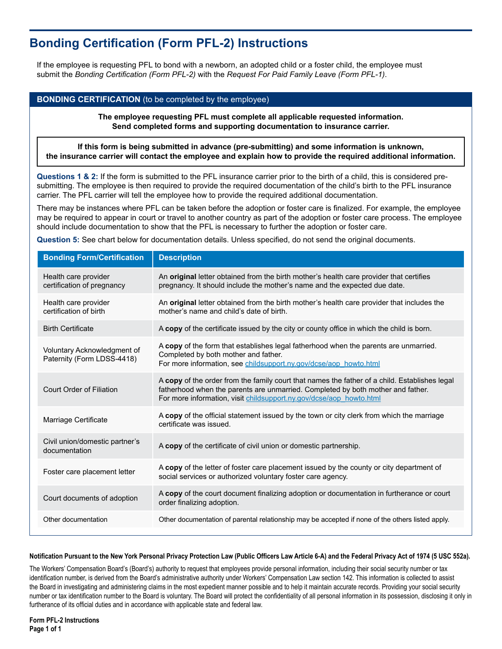# **Bonding Certification (Form PFL-2) Instructions**

If the employee is requesting PFL to bond with a newborn, an adopted child or a foster child, the employee must submit the *Bonding Certification (Form PFL-2)* with the *Request For Paid Family Leave (Form PFL-1)*.

## **BONDING CERTIFICATION** (to be completed by the employee)

**The employee requesting PFL must complete all applicable requested information. Send completed forms and supporting documentation to insurance carrier.**

**If this form is being submitted in advance (pre-submitting) and some information is unknown, the insurance carrier will contact the employee and explain how to provide the required additional information.**

**Questions 1 & 2:** If the form is submitted to the PFL insurance carrier prior to the birth of a child, this is considered presubmitting. The employee is then required to provide the required documentation of the child's birth to the PFL insurance carrier. The PFL carrier will tell the employee how to provide the required additional documentation.

There may be instances where PFL can be taken before the adoption or foster care is finalized. For example, the employee may be required to appear in court or travel to another country as part of the adoption or foster care process. The employee should include documentation to show that the PFL is necessary to further the adoption or foster care.

**Question 5:** See chart below for documentation details. Unless specified, do not send the original documents.

| <b>Bonding Form/Certification</b>                         | <b>Description</b>                                                                                                                                                                                                                                      |
|-----------------------------------------------------------|---------------------------------------------------------------------------------------------------------------------------------------------------------------------------------------------------------------------------------------------------------|
| Health care provider<br>certification of pregnancy        | An original letter obtained from the birth mother's health care provider that certifies<br>pregnancy. It should include the mother's name and the expected due date.                                                                                    |
| Health care provider<br>certification of birth            | An original letter obtained from the birth mother's health care provider that includes the<br>mother's name and child's date of birth.                                                                                                                  |
| <b>Birth Certificate</b>                                  | A copy of the certificate issued by the city or county office in which the child is born.                                                                                                                                                               |
| Voluntary Acknowledgment of<br>Paternity (Form LDSS-4418) | A copy of the form that establishes legal fatherhood when the parents are unmarried.<br>Completed by both mother and father.<br>For more information, see childsupport.ny.gov/dcse/aop howto.html                                                       |
| Court Order of Filiation                                  | A copy of the order from the family court that names the father of a child. Establishes legal<br>fatherhood when the parents are unmarried. Completed by both mother and father.<br>For more information, visit childsupport.ny.gov/dcse/aop howto.html |
| Marriage Certificate                                      | A copy of the official statement issued by the town or city clerk from which the marriage<br>certificate was issued.                                                                                                                                    |
| Civil union/domestic partner's<br>documentation           | A copy of the certificate of civil union or domestic partnership.                                                                                                                                                                                       |
| Foster care placement letter                              | A copy of the letter of foster care placement issued by the county or city department of<br>social services or authorized voluntary foster care agency.                                                                                                 |
| Court documents of adoption                               | A copy of the court document finalizing adoption or documentation in furtherance or court<br>order finalizing adoption.                                                                                                                                 |
| Other documentation                                       | Other documentation of parental relationship may be accepted if none of the others listed apply.                                                                                                                                                        |

### **Notification Pursuant to the New York Personal Privacy Protection Law (Public Officers Law Article 6-A) and the Federal Privacy Act of 1974 (5 USC 552a).**

The Workers' Compensation Board's (Board's) authority to request that employees provide personal information, including their social security number or tax identification number, is derived from the Board's administrative authority under Workers' Compensation Law section 142. This information is collected to assist the Board in investigating and administering claims in the most expedient manner possible and to help it maintain accurate records. Providing your social security number or tax identification number to the Board is voluntary. The Board will protect the confidentiality of all personal information in its possession, disclosing it only in furtherance of its official duties and in accordance with applicable state and federal law.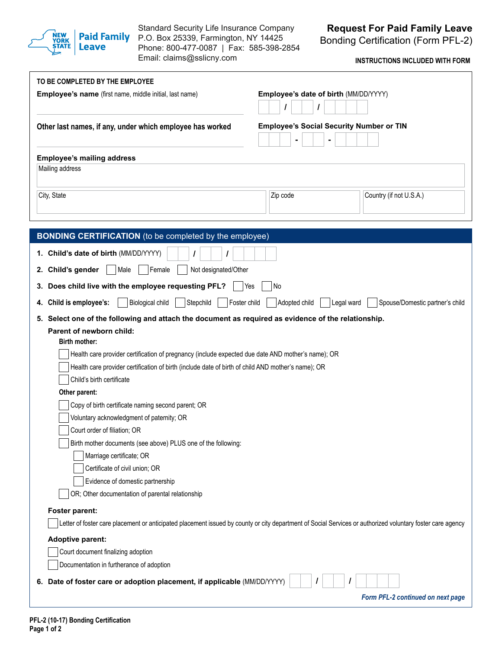

Standard Security Life Insurance Company P.O. Box 25339, Farmington, NY 14425 Phone: 800-477-0087 | Fax: 585-398-2854 Email: claims@sslicny.com

Bonding Certification (Form PFL-2)

**INSTRUCTIONS INCLUDED WITH FORM**

| TO BE COMPLETED BY THE EMPLOYEE                                                                                                                            |                                                 |                                   |
|------------------------------------------------------------------------------------------------------------------------------------------------------------|-------------------------------------------------|-----------------------------------|
| Employee's name (first name, middle initial, last name)                                                                                                    | Employee's date of birth (MM/DD/YYYY)<br>I      |                                   |
| Other last names, if any, under which employee has worked                                                                                                  | <b>Employee's Social Security Number or TIN</b> |                                   |
| <b>Employee's mailing address</b>                                                                                                                          |                                                 |                                   |
| Mailing address                                                                                                                                            |                                                 |                                   |
|                                                                                                                                                            |                                                 |                                   |
| City, State                                                                                                                                                | Zip code                                        | Country (if not U.S.A.)           |
|                                                                                                                                                            |                                                 |                                   |
|                                                                                                                                                            |                                                 |                                   |
| <b>BONDING CERTIFICATION</b> (to be completed by the employee)                                                                                             |                                                 |                                   |
| 1. Child's date of birth (MM/DD/YYYY)                                                                                                                      |                                                 |                                   |
| 2. Child's gender<br>Female<br>Not designated/Other<br>Male                                                                                                |                                                 |                                   |
| 3. Does child live with the employee requesting PFL?                                                                                                       | Yes<br>No                                       |                                   |
| 4. Child is employee's:<br>Biological child<br>Stepchild<br>Foster child                                                                                   | Adopted child<br>Legal ward                     | Spouse/Domestic partner's child   |
| 5. Select one of the following and attach the document as required as evidence of the relationship.                                                        |                                                 |                                   |
| Parent of newborn child:                                                                                                                                   |                                                 |                                   |
| Birth mother:                                                                                                                                              |                                                 |                                   |
| Health care provider certification of pregnancy (include expected due date AND mother's name); OR                                                          |                                                 |                                   |
| Health care provider certification of birth (include date of birth of child AND mother's name); OR                                                         |                                                 |                                   |
| Child's birth certificate                                                                                                                                  |                                                 |                                   |
| Other parent:                                                                                                                                              |                                                 |                                   |
| Copy of birth certificate naming second parent; OR                                                                                                         |                                                 |                                   |
| Voluntary acknowledgment of paternity; OR                                                                                                                  |                                                 |                                   |
| Court order of filiation; OR                                                                                                                               |                                                 |                                   |
| Birth mother documents (see above) PLUS one of the following:                                                                                              |                                                 |                                   |
| Marriage certificate; OR                                                                                                                                   |                                                 |                                   |
| Certificate of civil union; OR                                                                                                                             |                                                 |                                   |
| Evidence of domestic partnership                                                                                                                           |                                                 |                                   |
| OR; Other documentation of parental relationship                                                                                                           |                                                 |                                   |
| Foster parent:                                                                                                                                             |                                                 |                                   |
| Letter of foster care placement or anticipated placement issued by county or city department of Social Services or authorized voluntary foster care agency |                                                 |                                   |
| <b>Adoptive parent:</b>                                                                                                                                    |                                                 |                                   |
| Court document finalizing adoption                                                                                                                         |                                                 |                                   |
| Documentation in furtherance of adoption                                                                                                                   |                                                 |                                   |
| Date of foster care or adoption placement, if applicable (MM/DD/YYYY)<br>6.                                                                                |                                                 |                                   |
|                                                                                                                                                            |                                                 | Form PFL-2 continued on next page |